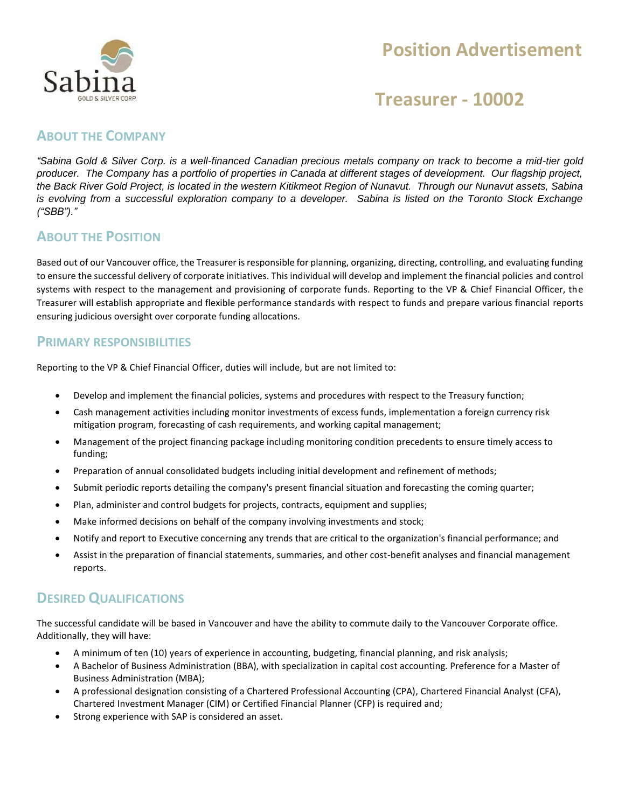

# **Position Advertisement**

## **Treasurer - 10002**

### **ABOUT THE COMPANY**

*"Sabina Gold & Silver Corp. is a well-financed Canadian precious metals company on track to become a mid-tier gold producer. The Company has a portfolio of properties in Canada at different stages of development. Our flagship project, the Back River Gold Project, is located in the western Kitikmeot Region of Nunavut. Through our Nunavut assets, Sabina is evolving from a successful exploration company to a developer. Sabina is listed on the Toronto Stock Exchange ("SBB")."*

### **ABOUT THE POSITION**

Based out of our Vancouver office, the Treasurer is responsible for planning, organizing, directing, controlling, and evaluating funding to ensure the successful delivery of corporate initiatives. This individual will develop and implement the financial policies and control systems with respect to the management and provisioning of corporate funds. Reporting to the VP & Chief Financial Officer, the Treasurer will establish appropriate and flexible performance standards with respect to funds and prepare various financial reports ensuring judicious oversight over corporate funding allocations.

#### **PRIMARY RESPONSIBILITIES**

Reporting to the VP & Chief Financial Officer, duties will include, but are not limited to:

- Develop and implement the financial policies, systems and procedures with respect to the Treasury function;
- Cash management activities including monitor investments of excess funds, implementation a foreign currency risk mitigation program, forecasting of cash requirements, and working capital management;
- Management of the project financing package including monitoring condition precedents to ensure timely access to funding;
- Preparation of annual consolidated budgets including initial development and refinement of methods;
- Submit periodic reports detailing the company's present financial situation and forecasting the coming quarter;
- Plan, administer and control budgets for projects, contracts, equipment and supplies;
- Make informed decisions on behalf of the company involving investments and stock;
- Notify and report to Executive concerning any trends that are critical to the organization's financial performance; and
- Assist in the preparation of financial statements, summaries, and other cost-benefit analyses and financial management reports.

### **DESIRED QUALIFICATIONS**

The successful candidate will be based in Vancouver and have the ability to commute daily to the Vancouver Corporate office. Additionally, they will have:

- A minimum of ten (10) years of experience in accounting, budgeting, financial planning, and risk analysis;
- A Bachelor of Business Administration (BBA), with specialization in capital cost accounting. Preference for a Master of Business Administration (MBA);
- A professional designation consisting of a Chartered Professional Accounting (CPA), Chartered Financial Analyst (CFA), Chartered Investment Manager (CIM) or Certified Financial Planner (CFP) is required and;
- Strong experience with SAP is considered an asset.